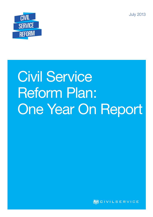July 2013



# Civil Service Reform Plan: One Year On Report

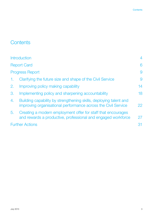# **Contents**

| <b>Introduction</b>                                                                                                                      | 4  |
|------------------------------------------------------------------------------------------------------------------------------------------|----|
| <b>Report Card</b>                                                                                                                       | 6  |
| <b>Progress Report</b>                                                                                                                   | 9  |
| Clarifying the future size and shape of the Civil Service<br>1.                                                                          | 9  |
| 2.<br>Improving policy making capability                                                                                                 | 14 |
| 3.<br>Implementing policy and sharpening accountability                                                                                  | 18 |
| 4.<br>Building capability by strengthening skills, deploying talent and<br>improving organisational performance across the Civil Service | 22 |
| 5.<br>Creating a modern employment offer for staff that encourages<br>and rewards a productive, professional and engaged workforce       | 27 |
| <b>Further Actions</b>                                                                                                                   | 31 |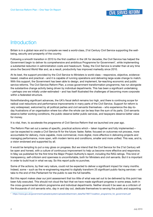## **Introduction**

Britain is in a global race and to compete we need a world-class, 21st Century Civil Service supporting the wellbeing, security and prosperity of the country.

Following a smooth transition in 2010 to the first coalition in the UK for decades, the Civil Service has helped the Government begin to deliver its comprehensive and ambitious Programme for Government<sup>1</sup>, while implementing a substantial reduction in administration costs and headcount. Today, the Civil Service is smaller than at any time since the Second World War and, as a result, productivity has improved markedly since 2010.

At its best, the support provided by the Civil Service to Ministers is world class – responsive, objective, evidencebased, creative and practical – and it is capable of running operations and delivering large-scale change to match. With this support, the Government has been able to design, and implement, far-reaching economic and public service reforms. The Civil Service Reform Plan, a cross-government transformation programme, has run alongside the substantive change activity being driven by individual departments. This has been a significant undertaking – perhaps one we initially under-estimated – and has itself illustrated the challenges of becoming more corporate within a federated structure.

Notwithstanding significant advances, the UK's fiscal deficit remains too high, and there is continuing scope for radical cost reductions and performance improvements in many parts of the Civil Service. Support for reform is very widespread, welcomed by all political parties and civil servants themselves – who experience the day-today frustrations of an organisation where too often the whole can be less than the sum of its parts. Civil servants deserve better working conditions, the public deserve better public services, and taxpayers deserve better value for money.

It is vital, then, to accelerate the programme of Civil Service Reform that we launched one year ago.

The Reform Plan set out a series of specific, practical actions which – taken together and fully implemented – can be expected to create a Civil Service fit for the future: faster, flatter, focused on outcomes not process, more accountable for delivery, more capable, more commercial, more digital, more effective in delivering projects and managing performance, more open, with modern terms and conditions, smaller and more unified. This was, and is, a vision endorsed and supported by all.

It would be tempting to put a rosy gloss on progress. But we intend that the Civil Service for the 21st Century will be open and honest, with a culture of continuous improvement to help us become more effective and responsive. In May we published for the first time the Major Project Authority's report, including the RAG ratings. This kind of transparency, self-criticism and openness is uncomfortable, both for Ministers and civil servants. But it is important in order to build trust in what we say. So this report pulls no punches.

Some of the actions, by their very nature, could not be expected to deliver a significant impact for many months. Indeed, some – such as the re-engineering required to digitally transform 25 significant public-facing services – will take to the end of this Parliament for the public to see the full benefits.

But this report makes clear our joint assessment that too little of what was set out to be delivered by this point has been fully executed. This should not cloud the fact that we have made significant progress in some areas, both in the cross-governmental reform programme and individual departments. Neither should it be seen as a criticism of the thousands of civil servants who, day in and day out, dedicate themselves to serving the public and supporting

<sup>1</sup> https://www.gov.uk/government/uploads/system/uploads/attachment\_data/file/78977/coalition\_programme\_for\_government.pdf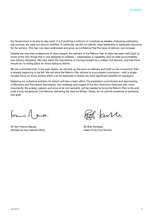the Government in its day-to-day work. It is if anything a criticism of ourselves as leaders. Following publication last summer, we were too slow to mobilise. In particular, we did not identify clear leadership or adequate resources for the actions. This has now been addressed and gives us confidence that the pace of delivery can increase.

Despite the very best endeavours of many people, the delivery of the Reform Plan to date has been held back by some of the very things that it was designed to address – weaknesses in capability, lack of clear accountability, and delivery discipline. We have learnt the importance of moving forward as a unified Civil Service, and that there should be no hiding place for those failing to deliver.

We are committed that, in the year ahead, we will pick up the pace on delivery and build on the momentum that is already beginning to be felt. We will drive the Reform Plan actions to a successful conclusion – with a singleminded focus on those actions which can be expected to realise the most significant benefits for taxpayers.

Realising our collective ambition for reform will take a team effort. The persistent commitment and sponsorship of Ministers and Permanent Secretaries, the challenge and insight of the Non-Executive Directors and, most importantly, the energy, passion and drive of all civil servants, will be needed to bring the Reform Plan to life and build a truly exceptional Civil Service, delivering the best for Britain. Today, we re-commit ourselves to achieving that goal.

francis A sude.

Rt Hon Francis Maude. Notified the Sir Bob Kerslake, Sir Bob Kerslake, Minister for the Cabinet Office **Head of the Civil Service Head of the Civil Service** 

ante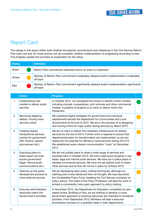# Report Card

The ratings in this report reflect both whether the specific commitments and milestones in the Civil Service Reform Plan were met and, for those actions not yet complete, whether implementation is progressing according to plan. The progress update text provides an explanation for the rating.

| Rating | <b>Definition</b>                                                                                         |
|--------|-----------------------------------------------------------------------------------------------------------|
| Green  | Reform Plan commitment delivered and/or on track to implement                                             |
| Amber  | Delivery of Reform Plan commitment moderately delayed and/or implementation moderately<br>off track       |
| Red    | Delivery of Reform Plan commitment significantly delayed and/or implementation significantly<br>off track |

|                | <b>Action</b>                                                                                                       | <b>Progress</b>                                                                                                                                                                                                                                                                                                                                                   |  |
|----------------|---------------------------------------------------------------------------------------------------------------------|-------------------------------------------------------------------------------------------------------------------------------------------------------------------------------------------------------------------------------------------------------------------------------------------------------------------------------------------------------------------|--|
| 1              | Implementing new<br>models to deliver public<br>services                                                            | In October 2012, we completed the review to identify further models,<br>including mutuals, cooperatives, joint ventures and other commercial<br>models. A pipeline of projects is on track to deliver within this<br>Parliament.                                                                                                                                  |  |
| $\overline{2}$ | Becoming digital by<br>default, moving more<br>services online                                                      | We published digital strategies for government and individual<br>departments (except the Department for Communities and Local<br>Government) at the end of 2012. We are in the process of re-designing<br>and moving online 25 major public-facing services by March 2015.                                                                                        |  |
| 3              | Creating shared<br>transactional services<br>centres for government<br>(HR, finance, payroll,<br>procurement etc.)  | We are on track to deliver the necessary infrastructure for shared<br>services by the end of 2013. Further work is required to ensure that<br>departmental plans for transformation are implemented, so we can<br>realise the full potential for efficiency improvements during 2014/15.<br>We established seven shared communication "hubs" by December<br>2012. |  |
| 4              | Executing plans to<br>share expert services<br>across government<br>(legal, internal audit,<br>communications etc.) | We did not publish plans to share a wide range of services and<br>expertise (due in October 2012). We have made good progress in two<br>areas: legal and internal audit services. We have put in place plans to<br>develop commercial services. We have not yet started work to share<br>other services and so this will not be in place by October 2013.         |  |
| 5              | Opening up the policy<br>development process to<br>more external sources                                            | We are developing open policy making techniques, although our<br>starting point is less advanced than we thought. We have launched<br>the Contestable Policy Fund, breaking the Civil Service monopoly on<br>policy advice. The Head of the Policy Profession will lead the work to<br>embed a consistently more open approach to policy making.                  |  |
| 6              | Ensuring administrative<br>resources match the<br>Government's priorities                                           | In November 2012, the Department for Education completed its zero-<br>based review. Building on this, we are starting to develop a cross-<br>government approach to ensuring resources are matched to ministerial<br>priorities. From September 2013, Ministers will lead a resource<br>prioritisation process on a quarterly basis in their departments.         |  |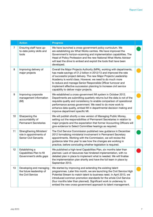|                | <b>Action</b>                                                                              | <b>Progress</b>                                                                                                                                                                                                                                                                                                                                                                                                                                           |  |
|----------------|--------------------------------------------------------------------------------------------|-----------------------------------------------------------------------------------------------------------------------------------------------------------------------------------------------------------------------------------------------------------------------------------------------------------------------------------------------------------------------------------------------------------------------------------------------------------|--|
| $\overline{7}$ | Ensuring staff have up-<br>to-date policy skills and<br>tools                              | We have launched a cross-government policy curriculum. We<br>are establishing six What Works centres. We have improved the<br>Government's horizon-scanning and implementation capabilities. The<br>Head of Policy Profession and the new National What Works Advisor<br>will lead the drive to embed and exploit the tools that have been<br>developed.                                                                                                  |  |
| 8              | Improving delivery of<br>major projects                                                    | Overall the Major Projects Authority (MPA), working with departments,<br>has made savings of £1.2 billion in 2012/13 and improved the rate<br>of successful project delivery. The new Major Projects Leadership<br>Academy is world class. However, we need to do much more<br>to reduce and manage Senior Responsible Officer turnover and<br>implement effective succession planning to increase civil service<br>capability to deliver major projects. |  |
| 9              | Improving corporate<br>management information<br>(MI)                                      | We established a cross-government MI system in October 2012.<br>Departments are submitting quarterly returns but the data is not of the<br>requisite quality and consistency to enable comparison of operational<br>performance across government. We need to do more work to<br>enhance data quality, embed MI in departmental decision making and<br>improve department specific MI.                                                                    |  |
| 10             | Sharpening the<br>accountability of<br><b>Permanent Secretaries</b>                        | We will publish shortly a new version of Managing Public Money,<br>setting out the responsibilities of Permanent Secretaries in relation to<br>major projects and the expectation that former Accounting Officers will<br>give evidence to Select Committee hearings as required.                                                                                                                                                                         |  |
| 11             | <b>Strengthening Ministers'</b><br>role in appointments of<br><b>Senior Civil Servants</b> | The Civil Service Commission published new guidance in December<br>2012 formalising ministerial involvement in Permanent Secretary<br>appointments. Working with the Commission, we will review the<br>guidance later this year to see how the changes are working in<br>practice, before concluding whether legislation is required.                                                                                                                     |  |
| 12             | Establishing a<br>Capabilities Plan to fill<br>Government's skills gaps                    | We published a high-level Capabilities Plan, six months later than<br>planned. Lack of resources has hindered implementation, with no<br>detailed plan in place to implement what is needed. We will finalise<br>the implementation plan shortly and have the full team in place by<br>September 2013.                                                                                                                                                    |  |
| 13             | Developing and managing<br>the future leadership of<br>the Civil Service                   | We started by improving and extending the existing talent<br>programmes. Later this month, we are launching the Civil Service High<br>Potential Stream to match talent to business need. In April 2013, we<br>introduced common promotion standards for the whole Civil Service<br>(four months later than planned). Significant work is underway to<br>embed the new cross-government approach to talent management.                                     |  |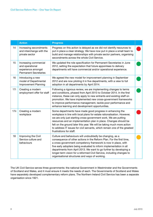|      | <b>Action</b>                                                                                  | <b>Progress</b>                                                                                                                                                                                                                                                                                                                                                                                                                                                            |  |
|------|------------------------------------------------------------------------------------------------|----------------------------------------------------------------------------------------------------------------------------------------------------------------------------------------------------------------------------------------------------------------------------------------------------------------------------------------------------------------------------------------------------------------------------------------------------------------------------|--|
| 14   | Increasing secondments<br>and interchange with the<br>private sector                           | Progress on this action is delayed as we did not identify resources to<br>put in place a clear strategy. We have now put in place a small team to<br>build and manage relationships with private sector partners, organising<br>secondments across the whole Civil Service.                                                                                                                                                                                                |  |
| 15   | Increasing commercial<br>and operational<br>experience amongst<br><b>Permanent Secretaries</b> | We updated the role specification for Permanent Secretaries in June<br>2012, setting the expectation that future appointees to delivery<br>departments will have commercial and/or operational experience.                                                                                                                                                                                                                                                                 |  |
| 16   | Introducing a new<br>model of Departmental<br>Improvement Planning                             | We agreed the new model for improvement planning in September<br>2012 and are now piloting it in five departments, with a view to full<br>adoption in all departments by April 2014.                                                                                                                                                                                                                                                                                       |  |
| 17i  | Creating a modern<br>employment offer for staff                                                | Following a rigorous review, we are implementing changes to terms<br>and conditions, phased from April 2013 to October 2014. In the first<br>instance, these can only apply to new entrants and existing staff on<br>promotion. We have implemented new cross-government frameworks<br>to improve performance management, tackle poor performance and<br>enhance learning and development opportunities.                                                                   |  |
| 17ii | Creating a modern<br>workplace                                                                 | Some departments have made good progress in enhancing the<br>workplace in line with local plans for estate rationalisation. However,<br>we are only just starting cross-government work. We are putting<br>resources and an implementation plan in place. Changes should be<br>felt on the ground later this year. We will be taking much more action<br>to address IT issues for civil servants, which remain one of the greatest<br>frustrations for staff.              |  |
| 18   | Improving the Civil<br>Service culture and<br>behaviours                                       | Culture and behaviours will undoubtedly be changing, as a<br>consequence of other actions in the Reform Plan. For the first time,<br>a cross-government competency framework is now in place, with<br>five early adopters being evaluated to inform implementation in all<br>departments from April 2013. We want to go further by developing a<br>longer-term vision for a reformed Civil Service, including changes to<br>organisational structures and ways of working. |  |

The UK Civil Service serves three governments: the national Government in Westminster and the Governments of Scotland and Wales, and it must ensure it meets the needs of each. The Governments of Scotland and Wales have separately developed complementary reform plans. The Northern Ireland Civil Service has been a separate organisation since 1921.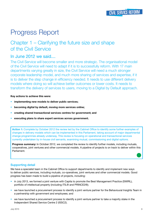# Progress Report

## Chapter 1 – Clarifying the future size and shape of the Civil Service

## In June 2012 we said....

The Civil Service will become smaller and more strategic. The organisational model of the Civil Service will need to adapt if it is to successfully reform. With 17 main departments varying greatly in size, the Civil Service will need a much stronger corporate leadership model, and much more sharing of services and expertise, if it is to deliver the step change in efficiency needed. It needs to use different delivery models where doing so will achieve better outcomes or lower costs. It needs to transform the delivery of services to users, moving to a Digital by Default approach.

#### **Key actions to achieve this were:**

- **implementing new models to deliver public services;**
- **becoming digital by default, moving more services online;**
- **creating shared transactional services centres for government; and**
- **executing plans to share expert services across government.**

**Action 1:** Complete by October 2012 the review led by the Cabinet Office to identify some further examples of changes in delivery models which can be implemented in this Parliament, taking account of major departmental change programmes already underway. This review is focusing on operational and transactional services currently undertaken by in-house civil servants, examining mutual, commissioning and digital options.

**Progress summary:** In October 2012, we completed the review to identify further models, including mutuals, cooperatives, joint ventures and other commercial models. A pipeline of projects is on track to deliver within this Parliament.

#### Supporting detail

We have a specialist team in the Cabinet Office to support departments to identify and implement new ways to deliver public services, including mutuals, co-operatives, joint ventures and other commercial models. Good progress has been made to build a pipeline of projects, including:

- in July 2013, we formed a joint venture with Capita to promote the Best Management Practice (SWIRL), portfolio of intellectual property (including ITIL® and PRINCE2®);
- we have launched a procurement process to identify a joint venture partner for the Behavioural Insights Team in a partnership with government and employees; and
- we have launched a procurement process to identify a joint venture partner to take a majority stake in the Independent Shared Service Centre 2 (ISSC2).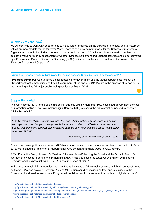#### Where do we go next?

We will continue to work with departments to make further progress on the portfolio of projects, and to maximise value from new models for the taxpayer. We will determine a new delivery model for the Defence Infrastructure Organisation through the bidding process that will conclude later in 2013. Later this year we will complete an objective, value-for-money assessment of whether Defence Equipment and Support activities should be delivered by a Government Owned, Contractor Operating (GoCo) entity or a public sector benchmark known as DE&S+ (Defence Equipment & Support +).

#### **Action 2:** Departments to publish plans for making services Digital by Default by the end of 2012.

**Progress summary:** We published digital strategies for government and individual departments (except the Department for Communities and Local Government) at the end of 2012. We are in the process of re-designing and moving online 25 major public-facing services by March 2015.

#### Supporting detail

The vast majority (82%) of the public are online, but only slightly more than 50% have used government services or information online.<sup>2</sup> The Government Digital Service (GDS) is leading the transformation needed to become "digital by default".

*"The Government Digital Service is a team that uses digital technology, user-centred design and organisational change to be a powerful force of innovation. It will deliver better services but will also transform organisation structures. It might even help change citizens' relationship with Government."* 



Mat Hunter, Chief Design Officer, Design Council

There have been significant successes. GDS has made information much more accessible to the public.<sup>3</sup> In March 2013, we finished the transfer of all departmental web content to a single website, www.gov.uk.

GOV.UK won the Design Museum's "Design of the Year Award", beating the Shard and the Olympic Torch. On average, the website is getting one million hits a day. It has also saved the taxpayer £42 million by replacing Directgov and BusinessLink with GOV.UK, a cost reduction of 72%.4

In the departmental digital strategies, we identified a first wave of 25 exemplar services which will be transformed by March 2015 (see below).<sup>5</sup> Between £1.7 and £1.8 billion could be realised as total annual savings to the Government and service users, by shifting departmental transactional services from offline to digital channels.<sup>6</sup>

<sup>2</sup> http://publications.cabinetoffice.gov.uk/digital/research/

<sup>3</sup> http://publications.cabinetoffice.gov.uk/digital/strategy/government-digital-strategy.pdf

<sup>4</sup> https://www.gov.uk/government/uploads/system/uploads/attachment\_data/file/204603/FINAL\_12\_13\_ERG\_annual\_report.pdf

<sup>5</sup> http://publications.cabinetoffice.gov.uk/digital/#departmental-strategies

<sup>6</sup> http://publications.cabinetoffice.gov.uk/digital//efficiency/#fn:2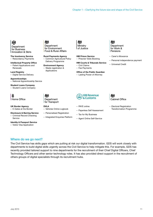#### 撼 Department for Business **Innovation & Skills**

**The Insolvency Service** – Redundancy Payments

**Intellectual Property Office** – Patent Applications and Renewals

**Land Registry** – Digital Service Delivery

**Apprenticeships** – National Apprenticeship Service

**Student Loans Company** – Student Loans Company



**UK Border Agency** – E-Gates at the Border

**Disclosure & Barring Service** – Criminal Record Checking **Service** 

**Identity & Passport Service** – Visitor Visa Application

心 Department for Environment Food & Rural Affairs

**Rural Payments Agency** – Common Agricultural Policy Delivery Programme

**Environment Agency** – Waste registration & Applications

– Vehicles Online Logbook – Personalised Registration – Integrated Enquiries Platform

**DVLA**

心

Department for Transport

欢多 Ministry of Justice

**HM Prison Service** – Prisoner Visits Booking

#### **HM Courts & Tribunals Service**

– Civil Claims – Fee Payments

- **Office of the Public Guardian**
- Lasting Power of Attorney

ぷ Department for Work & Pensions

- Carer's Allowance
- Personal independence payment
- Universal Credit



- PAYE online
- Paperless Self Assessment
- Tax for My Business
- Agent Online Self-Service



– Electoral Registration Transformation Programme

Where do we go next?

The Civil Service has skills gaps which are putting at risk our digital transformation. GDS will work closely with departments to build digital skills urgently across the Civil Service to help mitigate this. For example, GDS has recently provided tailored support to nine departments for the recruitment of their Chief Digital Officers, Chief Technology Officers and other senior technology roles. It has also provided direct support in the recruitment of others groups of digital specialists through its recruitment hubs.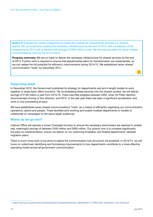**Action 3:** Execute the current programme to create five centres for transactional services (i.e. finance, payroll, HR, procurement) creating the necessary infrastructure by the end of 2013, with full delivery of the programme by 2014 with potential cost savings of £600 million a year. We will execute plans for seven shared communications hubs by the end of 2012.

**Progress summary:** We are on track to deliver the necessary infrastructure for shared services by the end of 2013. Further work is required to ensure that departmental plans for transformation are implemented, so we can realise the full potential for efficiency improvements during 2014/15. We established seven shared communication "hubs" by December 2012.

#### Supporting detail

In December 2012, the Government published its strategy for departments and arm's-length bodies to work together to share back-office functions.<sup>7</sup> By consolidating these services into five shared centres, we will deliver savings of £128 million a year from 2015/16. There was little progress between 2004, when Sir Peter Gershon recommended moving in this direction, and 2012. In the last year there has been a significant acceleration and work is now proceeding at pace.

We have established seven shared communications "hubs" as a means of efficiently organising our communication operations, spend and people. These facilitate joint working and enable multiple departments or bodies to collaborate on campaigns to the same target audiences.

#### Where do we go next?

Cabinet Office will operate a Crown Oversight function to ensure the necessary benchmarks are reached to enable real, meaningful savings of between £400 million and £600 million. Our priority now is to increase significantly the pace on implementation, ensure we deliver on our stretching timetable, and finalise departments' detailed migration plans.

There is much more work to be done to realise the communication hub structure's full potential. In 2013/14, we will focus on collectively identifying and formalising improvements to how departments contribute to a more effective operating model across all government communication.

<sup>7</sup> https://www.gov.uk/government/uploads/system/uploads/attachment\_data/file/83717/19284\_Next\_Generation\_3rd\_Online.pdf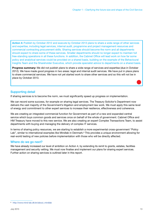**Action 4:** Publish by October 2012 and execute by October 2013 plans to share a wide range of other services and expertise, including legal services, internal audit, programme and project management resources and commercial contracting procurement skills. Sharing services should become the norm and all departments should expect to share some of these services. Smaller departments should no longer expect to maintain full free-standing operations in all these functions. In addition, the Cabinet Office will lead work on how far some policy and analytical services could be provided on a shared basis, building on the example of the Behavioural Insights Team and the Shareholder Executive, which provide specialist advice to departments on a shared basis.

**Progress summary:** We did not publish plans to share a wide range of services and expertise (due in October 2012). We have made good progress in two areas: legal and internal audit services. We have put in place plans to share commercial services. We have not yet started work to share other services and so this will not be in place by October 2013.

#### Supporting detail

If sharing services is to become the norm, we must significantly speed up progress on implementation.

We can record some success, for example on sharing legal services. The Treasury Solicitor's Department now delivers the vast majority of the Government's litigation and employment law work. We must apply this same level of energy and commitment to other expert services to increase their resilience, effectiveness and coherence.

We are creating an integrated commercial function for Government as part of a new and expanded central service which buys common goods and services once on behalf of the whole of government. Cabinet Office and HM Treasury have moved to this new service. We are also creating an expert Complex Transactions Team, to assist departments with buying and managing the delivery of complex IT services.

In terms of sharing policy resources, we are starting to establish a more experimental cross-government "Policy Lab", similar to international examples like Mindlab in Denmark.<sup>8</sup> This provides a unique environment allowing for real-world testing of new policies before implementation with those who will be directly affected.

#### Where do we go next?

We have already increased our level of ambition on Action 4, by extending its remit to grants, estates, facilities management and security vetting. We must now finalise and implement our plans for sharing expert services. Further action on sharing services is outlined later in this report.

<sup>&</sup>lt;sup>8</sup> http://www.mind-lab.dk/en/about\_mindlab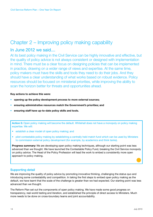## Chapter 2 – Improving policy making capability

## In June 2012 we said....

At its best policy making in the Civil Service can be highly innovative and effective, but the quality of policy advice is not always consistent or designed with implementation in mind. There must be a clear focus on designing policies that can be implemented in practice, drawing on a wider range of views and expertise. At the same time, policy makers must have the skills and tools they need to do their jobs. And they should have a clear understanding of what works based on robust evidence. Policy resources should be focused on ministerial priorities, while improving the ability to scan the horizon better for threats and opportunities ahead.

#### **Key actions to achieve this were:**

- **opening up the policy development process to more external sources;**
- **ensuring administrative resources match the Government's priorities; and**
- **ensuring staff have up-to-date policy skills and tools.**

Action 5: Open policy making will become the default. Whitehall does not have a monopoly on policy making expertise. We will:

- establish a clear model of open policy making: and
- pilot contestable policy making by establishing a centrally held match fund which can be used by Ministers to commission external policy development (for example, by academics and think tanks).

**Progress summary:** We are developing open policy making techniques, although our starting point was less advanced than we thought. We have launched the Contestable Policy Fund, breaking the Civil Service monopoly on policy advice. The Head of the Policy Profession will lead the work to embed a consistently more open approach to policy making.

#### Supporting detail

We are improving the quality of policy advice by promoting innovative thinking, challenging the status quo and introducing some contestability and competition. In taking the first steps to embed open policy making as the default, we have learnt that the scale of the challenge is greater than we had expected. Our starting point was less advanced than we thought.

The Reform Plan set out the components of open policy making. We have made some good progress on transparency, real-world testing and iteration, and established the principle of direct access to Ministers. Much more needs to be done on cross-boundary teams and joint accountability.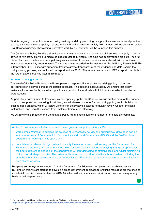Work is ongoing to establish an open policy-making model by promoting best practice case studies and practical guides, via a website for all policy makers, which will be implemented in July 2013. A new online publication called Civil Service Quarterly, showcasing innovative work by civil servants, will be launched this summer.

The Contestable Policy Fund is a significant step towards opening up the current civil service monopoly of policy advice to Ministers, allowing unmediated direct routes to Ministers. The fund has approved ten projects. The first piece of advice to be tendered competitively was a review of how civil services work abroad, with a particular focus on accountability arrangements. The contract was awarded to the Institute for Public Policy Research (IPPR) in September 2012. In line with our commitment to greater transparency of the evidence and data used in the policy making process, we published the report in June 2013.<sup>9</sup> The recommendations in IPPR's report contribute to the further actions outlined later in this report.

#### Where do we go next?

The Head of the Policy Profession will take personal responsibility for professionalising policy making and delivering open policy making as the default approach. This personal accountability will ensure that policy makers will use new tools, share best practice and work collaboratively with think tanks, academics and other organisations.

As part of our commitment to transparency and opening up the Civil Service, we will publish more of the evidence base that supports policy making. In addition, we will develop a model for conducting policy audits, building on existing good practice, which will allow us to revisit policy advice, assess its quality, review whether the risks materialised, and learn the lessons from implementation more effectively.

We will review the impact of the Contestable Policy Fund, once a sufficient number of projects are complete.

**Action 6:** Ensure administrative resources match government policy priorities. We will:

- work across Whitehall to address the sources of unnecessary activity and bureaucracy, drawing in part on snapshot reviews of Department for Communities and Local Government (DCLG) and the DWP on how departmental working time is spent; and
- complete a zero-based budget review to identify the resources required to carry out the Department for Education's statutory and other functions going forward. This will include identifying a range of options for the future size, shape and role of the department, without damaging its effectiveness, and whilst maintaining its focus on strategic priorities. The review will take account of reforms to the schools system, including the establishment of increasing numbers of Academies and Free Schools, and of the potential to benefit further from shared services.

**Progress summary:** In November 2012, the Department for Education completed its zero-based review. Building on this, we are starting to develop a cross-government approach to ensuring resources are matched to ministerial priorities. From September 2013, Ministers will lead a resource prioritisation process on a quarterly basis in their departments.

<sup>&</sup>lt;sup>9</sup> "Accountability and Responsiveness in the Senior Civil Service: Lessons from Overseas" https://www.gov.uk/government/news/ipps\_report\_into\_other\_civil\_service\_models\_published.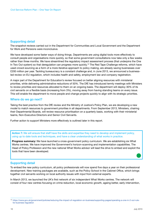#### Supporting detail

The snapshot reviews carried out in the Department for Communities and Local Government and the Department for Work and Pensions were inconclusive.

We have developed some faster ways of doing things. Departments are using digital tools more effectively to consult people and organisations more quickly, so that some government consultations now take only a few weeks rather than three months. We have streamlined the regulatory impact assessment process (that underpins the One In Two Out system) so that deregulation can progress more quickly.<sup>10</sup> The Red Tape Challenge reforms, which have used crowd-sourcing as a form of a more iterative approach to policy making, are already saving businesses over £200 million per year. Tackling bureaucracy is a constant challenge and, in June 2013, we announced a businessled review on EU regulation, which includes health and safety, employment law and company registration.

A major part of the Department for Education's review focused on better aligning resources with ministerial priorities, while delivering administrative reductions of 50%. The DfE has introduced termly meetings with Ministers to review priorities and resources allocated to them on an ongoing basis. The department will deploy 30% of its civil servants on a flexible basis (increasing from 3%), moving away from having standing teams on every issue. This will enable the department to move people and change projects quickly to align with its strategic priorities.

#### Where do we go next?

Taking the best practice from the DfE review and the Ministry of Justice's Policy Plan, we are developing a new model to match resources to government priorities in all departments. From September 2013, Ministers, chairing their Departmental Boards, will review resource prioritisation on a quarterly basis, working with their ministerial teams, Non-Executive Directors and Senior Civil Servants.

Further action to support Ministers more effectively is outlined later in this report.

**Action 7:** We will ensure that staff have the skills and expertise they need to develop and implement policy, using up to date tools and techniques, and have a clear understanding of what works in practice.

**Progress summary:** We have launched a cross-government policy curriculum. We are establishing six What Works centres. We have improved the Government's horizon-scanning and implementation capabilities. The Head of Policy Profession and the new national What Works advisor will lead the drive to embed and exploit the tools that have been developed.

#### Supporting detail

To embed the new policy curriculum, all policy professionals will now spend five days a year on their professional development. New training packages are available, such as the Policy School in the Cabinet Office, which brings together civil servants working on local authority issues with input from external experts.

In March 2013, we launched the UK's first network of six independent What Works centres. The network will consist of four new centres focusing on crime reduction, local economic growth, ageing better, early intervention,

<sup>10</sup> https://www.gov.uk/government/policies/reducing-the-impact-of-regulation-on-business/supporting-pages/operating-a-one-in-2-out-rulefor-business-regulation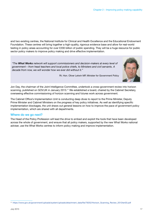and two existing centres, the National Institute for Clinical and Health Excellence and the Educational Endowment Foundation. These centres will bring together a high-quality, rigorous evidence base and allow for real-world testing in policy areas accounting for over £200 billion of public spending. They will be a huge resource for public sector policy makers to improve policy making and drive effective implementation.

*"The What Works network will support commissioners and decision-makers at every level of government – from head teachers and local police chiefs, to Ministers and civil servants. A decade from now, we will wonder how we ever did without it."*



Rt. Hon. Oliver Letwin MP, Minister for Government Policy

Jon Day, the chairman of the Joint Intelligence Committee, undertook a cross-government review into horizon scanning, published on GOV.UK in January 2013.<sup>11</sup> We established a board, chaired by the Cabinet Secretary, overseeing effective commissioning of horizon scanning and futures work across government.

The Cabinet Office's Implementation Unit is conducting deep dives to report to the Prime Minister, Deputy Prime Minister and Cabinet Ministers on the progress of key policy initiatives. As well as identifying specific implementation blockages, the unit draws out general lessons on how to improve the pace of government policy implementation, which are shared with all departments.

#### Where do we go next?

The Head of the Policy Profession will lead the drive to embed and exploit the tools that have been developed across the whole of government, and ensure that all policy makers, supported by the new What Works national adviser, use the What Works centres to inform policy making and improve implementation.

<sup>11</sup> https://www.gov.uk/government/uploads/system/uploads/attachment\_data/file/79252/Horizon\_Scanning\_Review\_2012ten03.pdf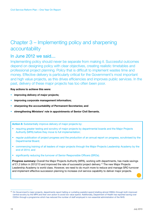# Chapter 3 – Implementing policy and sharpening accountability

## In June 2012 we said....

Implementing policy should never be separate from making it. Successful outcomes depend on designing policy with clear objectives, creating realistic timetables and professional project planning. Policy that is difficult to implement wastes time and money. Effective delivery is particularly critical for the Government's most important and high value projects, as this drives efficiencies and improves public services. In the past, delivery of these major projects has too often been poor.

#### **Key actions to achieve this were:**

- **improving delivery of major projects;**
- **improving corporate management information;**
- **sharpening the accountability of Permanent Secretaries; and**
- **strengthening Ministers' role in appointments of Senior Civil Servants.**

#### **Action 8:** Substantially improve delivery of major projects by:

- requiring greater testing and scrutiny of major projects by departmental boards and the Major Projects Authority (MPA) before they move to full implementation;
- regular publication of project progress and the production of an annual report on progress, scrutinised by the Departmental Board;
- commencing training of all leaders of major projects through the Major Projects Leadership Academy by the end of 2014; and
- significantly reducing the turnover of Senior Responsible Officers (SROs).

**Progress summary:** Overall the Major Projects Authority (MPA), working with departments, has made savings of £1.2 billion in 2012/13 and improved the rate of successful project delivery.<sup>12</sup> The new Major Projects Leadership Academy is world class. However, we need to do much more to reduce and manage SRO turnover and implement effective succession planning to increase civil service capability to deliver major projects.

<sup>12</sup> On Government's major projects, departments report halting or curtailing wasteful spend totalling almost £890m through both improved central scrutiny by the MPA and their own action to avoid low value spend. Additionally, Department of Health has reported saving over £320m through a programme which has reduced the number of staff employed in non-essential administration of the NHS.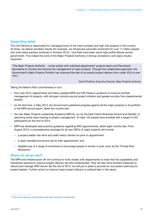#### Supporting detail

The Civil Service is responsible for managing some of the most complex and high-risk projects in the country. At times, we deliver excellent results (for example, we introduced automatic enrolment for over 11 million people into work-place pension schemes in October 2012),<sup>13</sup> but there have been some high profile failures across government. This makes the work of the Major Projects Authority in driving consistency and rigour doubly important.

*"The Major Projects Authority ... works closely with individual departments' projects teams and Permanent Secretaries to monitor and improve the management of major projects. Through this collaborative approach, the Government's Major Projects Portfolio has improved the rate of successful project delivery from under 30% to over 70%."*

David Pitchford, Executive Director, Major Projects Authority

Taking the Reform Plan commitments in turn:

- from July 2013, departments will follow updated MPA and HM Treasury guidance to improve portfolio management of projects, with stronger controls around project initiation and greater scrutiny from departmental boards;
- for the first time, in May 2013, the Government published progress against all the major projects in its portfolio in the MPA annual report, albeit ten months late;
- the new Major Projects Leadership Academy (MPLA), run by the Saïd Oxford Business School and Deloitte, is delivering world class training in project management. To date 120 people have enrolled with a target of 340 participants by the end of 2014;
- MPA has developed best practice guidance regarding SRO appointments, albeit eight months late. From August 2013, a comprehensive package for all new SROs of major projects will include:
	- a project leader role remit and skills match carried out prior to appointment;
	- a clear mandate and tenure set for their appointment; and
	- targeted use of a range of incentives to encourage people to remain in post, such as the "Pivotal Role Allowance".

#### Where do we go next?

The MPA and infrastructure UK will continue to work closely with departments to insist that the capabilities and disciplines required to improve project delivery are fully implemented. They will also drive forward measures to reduce and manage SRO tenure. By the end of 2013, we will put in place a process for succession planning for project leaders. Further action to improve major project delivery is outlined later in the report.

<sup>13</sup> http://www.dwp.gov.uk/docs/auto-key-facts-enrolment-booklet.pdf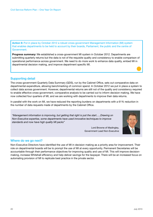**Action 9:** Put in place by October 2012 a robust cross-government Management Information (MI) system that enables departments to be held to account by their boards, Parliament, the public and the centre of Government.

**Progress summary:** We established a cross-government MI system in October 2012. Departments are submitting quarterly returns but the data is not of the requisite quality and consistency to enable comparison of operational performance across government. We need to do more work to enhance data quality, embed MI in departmental decision making, and improve department specific MI.

#### Supporting detail

The cross-government Quarterly Data Summary (QDS), run by the Cabinet Office, sets out comparative data on departmental expenditure, allowing benchmarking of common spend. In October 2012 we put in place a system to collect data across government. However, departmental returns are still not of the quality and consistency required to enable effective cross-government, comparative analysis to be carried out to inform decision making. We have now collected four quarters of MI, and we are working with departments to improve their data returns.

In parallel with the work on MI, we have reduced the reporting burdens on departments with a 61% reduction in the number of data requests made of departments by the Cabinet Office.

*"Management information is improving, but getting that right is just the start…..Drawing on Non-Executive expertise, some departments have used innovative techniques to improve standards and now have high quality MI packs"* 



Lord Browne of Madingley, Government Lead Non-Executive

#### Where do we go next?

Non-Executive Directors have identified the use of MI in decision making as a priority area for improvement. Their role on departmental boards will be to prompt the use of MI at every opportunity. Permanent Secretaries will be accountable through their performance objectives for improving quality and use of MI. This will improve decisionmaking, increase Whitehall efficiency and help deliver savings for the taxpayer. There will be an increased focus on automating provision of MI to replicate best practice in the private sector.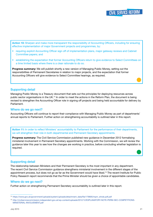**Action 10:** Sharpen and make more transparent the responsibility of Accounting Officers, including for ensuring effective implementation of major Government projects and programmes, by:

- requiring explicit Accounting Officer sign off of implementation plans, major gateway reviews and Cabinet Committee papers; and
- establishing the expectation that former Accounting Officers return to give evidence to Select Committees on a time limited basis where there is a clear rationale to do so.

**Progress summary:** We will publish shortly a new version of Managing Public Money, setting out the responsibilities of Permanent Secretaries in relation to major projects, and the expectation that former Accounting Officers will give evidence to Select Committee hearings, as required.

#### Supporting detail

Managing Public Money is a Treasury document that sets out the principles for deploying resources across public sector organisations in the UK.<sup>14</sup> In order to meet the actions in the Reform Plan, the document is being revised to strengthen the Accounting Officer role in signing off projects and being held accountable for delivery by Parliament.

#### Where do we go next?

Accounting Officers will continue to report their compliance with Managing Public Money as part of departments' annual reports to Parliament. Further action on strengthening accountability is outlined later in this report.

**Action 11:** In order to reflect Ministers' accountability to Parliament for the performance of their departments, we will strengthen their role in both departmental and Permanent Secretary appointments.

**Progress summary:** The Civil Service Commission published new guidance in December 2012 formalising ministerial involvement in Permanent Secretary appointments. Working with the Commission, we will review the guidance later this year to see how the changes are working in practice, before concluding whether legislation is required.

#### Supporting detail

The relationship between Ministers and their Permanent Secretary is the most important in any department. The recent Civil Service Commission guidance strengthens ministerial involvement in the different stages of the appointment process, but does not go as far as the Government would have liked.15 The recent Institute for Public Policy Research report recommends that the Prime Minister should be given a choice of appointable candidates.

#### Where do we go next?

Further action on strengthening Permanent Secretary accountability is outlined later in this report.

<sup>14</sup> https://www.gov.uk/government/uploads/system/uploads/attachment\_data/file/179695/mpm\_whole.pdf.pdf

<sup>15</sup> http://civilservicecommission.independent.gov.uk/wp-content/uploads/2012/12/EXPLANATORY-NOTE-PERM-SEC-COMPETITIONS-MINISTERIAL-INVOLVEMENT.pdf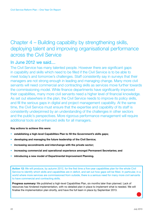# Chapter 4 – Building capability by strengthening skills, deploying talent and improving organisational performance across the Civil Service

## In June 2012 we said....

The Civil Service has many talented people. However there are significant gaps in capability and skills which need to be filled if the Civil Service is to be able to meet today's and tomorrow's challenges. Staff consistently say in surveys that their managers are not strong enough in leading and managing change. Many more civil servants will need commercial and contracting skills as services move further towards the commissioning model. While finance departments have significantly improved their capabilities, many more civil servants need a higher level of financial knowledge. As set out elsewhere in the plan, the Civil Service needs to improve its policy skills, and fill the serious gaps in digital and project management capability. At the same time, the Civil Service must ensure that the expertise and capability of its staff is consistently underpinned by an understanding of the challenges in other sectors and the public's perspectives. More rigorous performance management will require additional tools and enhanced skills for all managers.

#### **Key actions to achieve this were:**

- **establishing a high-level Capabilities Plan to fill the Government's skills gaps;**
- **developing and managing the future leadership of the Civil Service;**
- **increasing secondments and interchange with the private sector;**
- **increasing commercial and operational experience amongst Permanent Secretaries; and**
- **introducing a new model of Departmental Improvement Planning.**

**Action 12:** We will produce, by autumn 2012, for the first time a five-year capabilities plan for the whole Civil Service to identify which skills and capabilities are in deficit, and set out how gaps will be filled. In particular, in a world where more services are commissioned from outside, there is a serious need for many more civil servants to have commercial and contracting skills.

**Progress summary:** We published a high-level Capabilities Plan, six months later than planned. Lack of resources has hindered implementation, with no detailed plan in place to implement what is needed. We will finalise the implementation plan shortly, and have the full team in place by September 2013.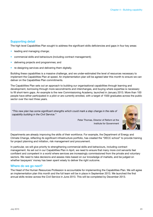#### Supporting detail

The high level Capabilities Plan sought to address the significant skills deficiencies and gaps in four key areas:

- leading and managing change;
- commercial skills and behaviours (including contract management);
- delivering projects and programmes; and
- re-designing services and delivering them digitally.

Building these capabilities is a massive challenge, and we under-estimated the level of resources necessary to implement the Capabilities Plan at speed. An implementation plan will be agreed later this month to ensure we can deliver on the Capabilities Plan commitments.

The Capabilities Plan sets out an approach to building our organisational capabilities through learning and development, borrowing through more secondments and interchanges, and buying where expertise is necessary to fill short-term gaps. An example is the new Commissioning Academy, launched in January 2013. More than 100 people have either participated in a pilot or are currently enrolled, with a target of 1500 graduates across the public sector over the next three years.

*"This new plan has some significant strengths which could mark a step change in the rate of capability building in the Civil Service."*



Peter Thomas, Director of Reform at the Institute for Government

Departments are already improving the skills of their workforce. For example, the Department of Energy and Climate Change, reflecting its significant infrastructure portfolio, has created the "DECC school" to provide training for project planning and initiation, risk management and procurement.

In particular, we will give priority to strengthening commercial skills and behaviours, including contract management. As set out in our Capabilities Plan in April, we need to ensure that many more civil servants feel confident and competent in a world where services are increasingly commissioned from the private and voluntary sectors. We need to take decisions and assess risks based on our knowledge of markets, and be judged on whether taxpayers' money has been spent wisely to deliver the right outcome.

#### Where do we go next?

The Head of the Human Resources Profession is accountable for implementing the Capabilities Plan. We will agree an implementation plan this month and the full team will be in place in September 2013. We launched the first annual skills review across the Civil Service in June 2013. This will be completed by December 2013.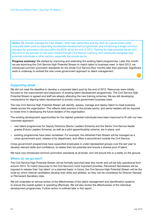**Action 13:** Actively manage the Fast Stream, other high performers and the SCS as a government–wide corporate talent pool by expanding accelerated development programmes, and introducing a single common standard for promotion into and within the SCS; all by the end of 2012. Training for high potential Senior Civil Servants to be sourced on the open market through Civil Service Learning, and conducted alongside high potential individuals in other sectors, especially the private sector.

**Progress summary:** We started by improving and extending the existing talent programmes. Later this month, we are launching the Civil Service High Potential Stream to match talent to business need. In April 2013, we introduced common promotion standards for the whole Civil Service (four months later than planned). Significant work is underway to embed the new cross-government approach to talent management.

#### Supporting detail

We did not meet the deadline to develop a corporate talent pool by the end of 2012. Resources were initially focused on the improvement and expansion of existing talent development programmes. The Civil Service High Potential Stream is agreed and staff are already attending the new training schemes. We are still developing mechanisms for aligning talent development to priority cross-government business need.

The new Civil Service High Potential Stream will identify, assess, manage and deploy talent to meet business needs across the organisation. This reflects best practice in the private sector, and senior leaders will be required to invest time in developing the future leaders of the organisation.

The existing development opportunities for the highest potential individuals have been improved to fit with our new corporate approach:

- new talent programmes for Deputy Directors (Senior Leaders Scheme) and the Senior Civil Service feeder grades (Future Leaders Scheme), as well as a pilot apprenticeship scheme, are in place; and
- existing programmes have been revitalised. For example, the refreshed Fast Stream will be managed as a cross-government pool, instead of by department, and offers a secondment outside the Civil Service.

Cross-government programmes have supported employees in under-represented groups over the last year to develop relevant skills and confidence, to realise their full potential and ensure a diverse pool of talent.

We have now introduced common promotion standards at all levels, and will ensure this is a reality on the ground.

#### Where do we go next?

The Civil Service High Potential Stream will be formally launched later this month and will be fully operational from autumn 2013. To match resources to the Civil Service's most important priorities, Permanent Secretaries will be required to release their 'top talent' on a planned basis. In future, the Civil Service High Potential Stream will be the route by which internal candidates develop their skills and abilities, so they can be considered for Director General or Permanent Secretary roles.

We will undertake an annual review of the effectiveness of the talent management and identification systems to ensure the overall system is operating effectively. We will also review the effectiveness of the individual development programmes. Further action is outlined later in this report.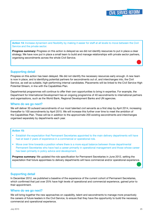**Action 14:** Increase dynamism and flexibility by making it easier for staff at all levels to move between the Civil Service and the private sector.

**Progress summary:** Progress on this action is delayed as we did not identify resources to put in place a clear strategy. We have now put in place a small team to build and manage relationships with private sector partners, organising secondments across the whole Civil Service.

#### Supporting detail

Progress on this action has been delayed. We did not identify the necessary resources early enough. A new team is now in place, and is identifying potential partners for secondments out of, and interchanges into, the Civil Service, as well as suitable, high-performing internal candidates. Placements will be linked to the Civil Service High Potential Stream, in line with the Capabilities Plan.

Departmental programmes will continue to offer their own opportunities to bring in expertise. For example, the Department for International Development has an ongoing programme of 40 secondments to international partners and organisations, such as the World Bank, Regional Development Banks and UN agencies.

#### Where do we go next?

We will deliver 30 outward secondments of our most talented civil servants as a first step by April 2014, increasing thereafter to 100 secondments by April 2015. We will increase this further over time to meet the ambition of the Capabilities Plan. These will be in addition to the approximate 200 existing secondments and interchanges organised separately by departments each year.

#### **Action 15:**

- Establish the expectation that Permanent Secretaries appointed to the main delivery departments will have had at least 2 years of experience in a commercial or operational role.
- Move over time towards a position where there is a more equal balance between those departmental Permanent Secretaries who have had a career primarily in operational management and those whose career has been primarily in policy advice and development.

**Progress summary:** We updated the role specification for Permanent Secretaries in June 2012, setting the expectation that future appointees to delivery departments will have commercial and/or operational experience.

#### Supporting detail

In December 2012, we published a baseline of the experience of the current cohort of Permanent Secretaries, which confirmed that just over 25% have high levels of operational and commercial experience, gained prior to their appointment.

#### Where do we go next?

We will bring together the new approaches on capability, talent and secondments to manage more proactively the careers of future leaders in the Civil Service, to ensure that they have the opportunity to build the necessary commercial and operational experience.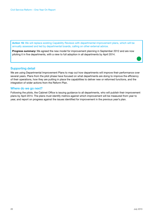**Action 16:** We will replace existing Capability Reviews with departmental improvement plans, which will be annually assessed and led by departmental boards, calling on other external advice.

**Progress summary:** We agreed the new model for improvement planning in September 2012 and are now piloting it in five departments, with a view to full adoption in all departments by April 2014.

#### Supporting detail

We are using Departmental Improvement Plans to map out how departments will improve their performance over several years. Plans from the pilot phase have focused on what departments are doing to improve the efficiency of their operations, how they are putting in place the capabilities to deliver new or reformed functions, and the integration of wider actions from the Reform Plan.

#### Where do we go next?

Following the pilots, the Cabinet Office is issuing guidance to all departments, who will publish their improvement plans by April 2014. The plans must identify metrics against which improvement will be measured from year to year, and report on progress against the issues identified for improvement in the previous year's plan.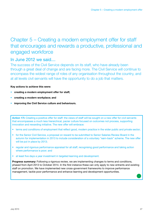# Chapter 5 – Creating a modern employment offer for staff that encourages and rewards a productive, professional and engaged workforce

### In June 2012 we said....

The success of the Civil Service depends on its staff, who have already been through a great deal of change and are facing more. The Civil Service will continue to encompass the widest range of roles of any organisation throughout the country, and at all levels civil servants will have the opportunity to do a job that matters.

#### **Key actions to achieve this were:**

- **creating a modern employment offer for staff;**
- **creating a modern workplace; and**
- **improving the Civil Service culture and behaviours.**

**Action 17i:** Creating a positive offer for staff: the views of staff will be sought on a new offer for civil servants that encompasses a much less hierarchical, pacier culture focused on outcomes not process, supporting innovation and rewarding initiative. The new offer will embrace:

- terms and conditions of employment that reflect good, modern practice in the wider public and private sector;
- for the Senior Civil Service, a proposal on reward to be submitted to Senior Salaries Review Board in the autumn for implementation in 2013 to include consideration of a voluntary "earn-back" scheme. The new offer will be put in place by 2013;
- regular and rigorous performance appraisal for all staff, recognising good performance and taking action where performance is poor; and
- at least five days a year investment in targeted learning and development.

**Progress summary:** Following a rigorous review, we are implementing changes to terms and conditions, phased from April 2013 to October 2014. In the first instance these can only apply to new entrants and existing staff on promotion. We have implemented new cross-government frameworks to improve performance management, tackle poor performance and enhance learning and development opportunities.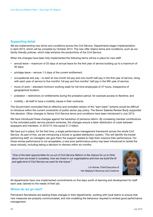#### Supporting detail

We are implementing new terms and conditions across the Civil Service. Departments began implementation in April 2013, which will be complete by October 2014. The new offer retains terms and conditions, such as our family-friendly policies, which help enhance the productivity of the Civil Service.

When the changes have been fully implemented the following terms will be in place for new staff:

- annual leave maximum of 25 days of annual leave for the first year of service building up to a maximum of 30 days;
- privilege leave remove 1.5 days of the current entitlement;
- occupational sick pay to start at one month full pay and one month half pay in the first year of service, rising with each year of service to five months' full pay and five months' half pay in the fifth year of service;
- hours of work standard minimum working week for full-time employees of 37 hours, irrespective of geographical location;
- probation restrictions on entitlements during the probation period, for example access to flexitime; and
- mobility all staff to have a mobility clause in their contracts.

The Government concluded that an effective and workable version of the "earn-back" scheme would be difficult to introduce within the current constraints of public sector pay policy. The Senior Salaries Review Body supported this decision. Other changes to Senior Civil Service terms and conditions have been introduced in July 2013.

We have introduced these changes against the backdrop of pensions reform. By increasing member contributions to the unfunded public service pension schemes, the changes ensure a fairer distribution of costs between taxpayers and members. In 2012/13, this saved £1.2 billion.

We have put in place, for the first time, a single performance management framework across the whole Civil Service. As part of this, we are introducing a forced or guided distribution system. This will identify the lowest performing staff, so managers can give them the support needed to help them improve their performance. For those whose performance is not acceptable, a new poor performance policy has been introduced to tackle the issue robustly, including taking a decision to dismiss within six months.

*"One of the best opportunities for us out of Civil Service Reform is the chance for us to think about how we invest in ourselves, how we invest in our organisations and how we build the fit and agile kind of Civil Service we want for the future."* 



Lin Homer, Chief Executive of Her Majesty's Revenue and Customs

All departments have now implemented commitments on five days worth of learning and development for staff each year, tailored to the needs of their job.

#### Where do we go next?

Permanent Secretaries are leading these changes in their departments, working with local teams to ensure that new measures are properly communicated, and role modelling the behaviour required to embed good performance management.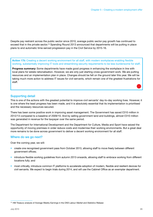Despite pay restraint across the public sector since 2010, average public sector pay growth has continued to exceed that in the private sector.<sup>16</sup> Spending Round 2013 announced that departments will be putting in place plans to end automatic time-served progression pay in the Civil Service by 2015-16.

**Action 17ii:** Creating a decent working environment for all staff, with modern workplaces enabling flexible working, substantially improving IT tools and streamlining security requirements to be less burdensome for staff.

**Progress summary:** Some departments have made good progress in enhancing the workplace in line with local plans for estate rationalisation. However, we are only just starting cross-government work. We are putting resources and an implementation plan in place. Changes should be felt on the ground later this year. We will be taking much more action to address IT issues for civil servants, which remain one of the greatest frustrations for staff.

#### Supporting detail

This is one of the actions with the greatest potential to improve civil servants' day-to-day working lives. However, it is one where the least progress has been made, and it is absolutely essential that its implementation is prioritised and the necessary resources secured.

There has been some positive work in improving asset management. The Government has saved £310 million in 2012/13 compared to a baseline of 2009/10. And by selling government land and buildings, almost £310 million was generated in revenue for the taxpayer over the same period.

The Department for International Development and the Department for Culture, Media and Sport have seized the opportunity of moving premises in order reduce costs and modernise their working environments. But a great deal more remains to be done across government to deliver a decent working environment for all staff.

#### Where do we go next?

Over the coming year, we will:

- create one recognised government pass from October 2013, allowing staff to move freely between different government offices;
- introduce flexible working guidelines from autumn 2013 onwards, allowing staff to embrace working from different locations fully; and
- most critically, introduce common IT platforms to accelerate adoption of modern, flexible and resilient devices for civil servants. We expect to begin trials during 2014, and will use the Cabinet Office as an exemplar department.

<sup>16</sup> HM Treasury analysis of Average Weekly Earnings in the *ONS Labour Market and Statistics Release*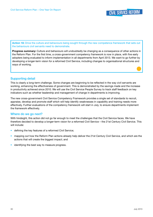**Action 18:** Drive the culture and behaviours being sought through the new competence framework that sets out the behaviours civil servants need to demonstrate.

**Progress summary:** Culture and behaviours will undoubtedly be changing as a consequence of other actions in the Reform Plan. For the first time, a cross-government competency framework is now in place, with five early adopters being evaluated to inform implementation in all departments from April 2013. We want to go further by developing a longer-term vision for a reformed Civil Service, including changes to organisational structures and ways of working.

#### Supporting detail

This is clearly a long-term challenge. Some changes are beginning to be reflected in the way civil servants are working, enhancing the effectiveness of government. This is demonstrated by the savings made and the increase in productivity achieved since 2010. We will use the Civil Service People Survey to track staff feedback on key indicators such as whether leadership and management of change in departments is improving.

The new cross-government Civil Service Competency Framework provides a single set of standards to recruit, appraise, develop and promote staff which will help identify weaknesses in capability and training needs more effectively. Further evaluations of the competency framework will start in July, to ensure departments implement the framework effectively.

#### Where do we go next?

With hindsight, this action did not go far enough to meet the challenges that the Civil Service faces. We have therefore decided to develop a longer-term vision for a reformed Civil Service – the 21st Century Civil Service. This will include:

- defining the key features of a reformed Civil Service;
- mapping out how the Reform Plan actions already help deliver the 21st Century Civil Service, and which are the actions that will create the biggest impact; and
- identifying the best way to measure progress.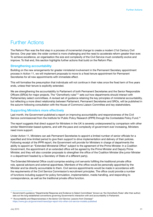## Further Actions

The Reform Plan was the first step in a process of incremental change to create a modern 21st Century Civil Service. One year later, the wider context is more challenging and the need to accelerate reform greater than ever. To achieve excellence, an organisation the size and complexity of the Civil Service must constantly evolve and improve. To that end, this section highlights further actions that build on the Reform Plan.

#### Strengthening accountability

Building on the new arrangements for greater ministerial involvement in the Permanent Secretary appointment process in Action 11, we will implement proposals to move to a fixed tenure appointment for Permanent Secretaries for all new appointments with immediate effect.

This will formalise the presumption that individuals will not continue in their roles once the fixed term of five years ends, unless their tenure is explicitly extended.

We are strengthening the accountability to Parliament of both Permanent Secretaries and the Senior Responsible Officers (SROs) for major projects. The "Osmotherly rules"17 sets out how departments should interact with Parliamentary select committees. A revised set of guidance retaining the key principles of ministerial accountability, but reflecting a more direct relationship between Parliament, Permanent Secretaries and SROs, will be published in the autumn following consultation with the House of Commons Liaison Committee and key stakeholders.

#### Supporting Ministers more effectively

Last month, the Government published a report on improving accountability and responsiveness of the Civil Service commissioned from the Institute for Public Policy Research (IPPR) through the Contestable Policy Fund.<sup>18</sup>

The report suggests that direct support for Ministers in the UK is severely underpowered by comparison with other similar Westminster-based systems, and with the pace and complexity of government ever increasing, Ministers need more support.

Under Action 11, Ministers can ask Permanent Secretaries to appoint a limited number of senior officials for a specified and time-limited period to give them support to drive implementation and delivery of their policies. Following receipt of the IPPR report, the Government will provide for Ministers in charge of departments the ability to appoint an "Extended Ministerial Office" subject to the agreement of the Prime Minister. In a Coalition Government, the appointment of an extended office will be agreed by the Prime Minister and Deputy Prime Minister, and they will also consider proposals to strengthen the office of the Coalition Minister (the junior Minister in a department headed by a Secretary of State of a different party).

The Extended Ministerial Office could comprise existing civil servants fulfilling the traditional private office role, special advisors and external appointees. Members of the office would be personally appointed by the Minister and be directly accountable to them. Civil service appointments would be made in accordance with the requirements of the Civil Service Commission's recruitment principles. The office could provide a number of functions including support for policy formulation, implementation, media handling, and responding to correspondence, as well as the traditional private office function.

<sup>17</sup> Government's guidance "Departmental Response and Evidence to Select Committees" (known as 'the Osmotherly Rules' after their author) sets out the long-established conventions governing Government's interaction with and accountability to Parliament.

<sup>18</sup> "*Accountability and Responsiveness in the Senior Civil Service: Lessons from Overseas*" https://www.gov.uk/government/news/ippr-report-into-other-civil-service-models-published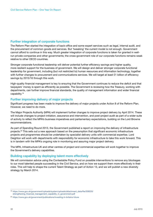#### Further integration of corporate functions

The Reform Plan started the integration of back-office and some expert services such as legal, internal audit, and the procurement of common goods and services. But 'tweaking' the current model is not enough. Government cannot afford to continue in this way. Much greater integration of corporate functions is taken for granted in wellrun private companies and other governments; the cross-government role of our corporate functions remains weak relative to other OECD countries.

Stronger corporate functional leadership will deliver potential further efficiency savings and higher quality, more resilient support for the business of government. We will design and deliver stronger corporate functional leadership for government, including (but not restricted to) human resources and information technology, together with further changes to procurement and communications services. We will target at least £1 billion of efficiency savings by 2015/16 through this work.

High-quality financial management is key to ensuring that the Government continues to reduce the deficit and that taxpayers' money is spent as efficiently as possible. The Government is reviewing how the Treasury, working with departments, can further improve financial standards, the quality of management information and wider financial capability.19

#### Further improving delivery of major projects

Significant progress has been made to improve the delivery of major projects under Action 8 of the Reform Plan. However, we need to do more.

The Major Projects Authority (MPA) will implement further changes to improve project delivery by April 2014. These will include changes to project initiation, assurance and intervention, and post-project audit as part of a wider suite of activity to reflect the MPA's business imperatives and parliamentary expectations, building on the Lord Browne recommendations.

As part of Spending Round 2013, the Government published a report on improving the delivery of infrastructure projects.20 This sets out a new approach based on the presumption that significant economic infrastructure projects and programmes should be undertaken by specialist delivery units with commercial expertise. Lord Deighton will work with departments with responsibility for economic infrastructure to take this work forward. This is in tandem with the MPA's ongoing role in monitoring and assuring major project delivery.

The MPA, Infrastructure UK and other centres of project and commercial expertise will work together to improve the Government's delivery capabilities.

#### Building capability by deploying talent more effectively

We will commission advice using the Contestable Policy Fund on possible interventions to remove any blockages to our most talented people succeeding in the Civil Service, and on how we support them more effectively in their roles. This will help to shape the current Talent Strategy as part of Action 13, and we will publish a new diversity strategy by March 2014.

<sup>19</sup> https://www.gov.uk/government/uploads/system/uploads/attachment\_data/file/209220/ strengthening\_financial\_management\_capability\_in\_government.pdf

<sup>20</sup> https://www.gov.uk/government/publications/investing-in-britains-future